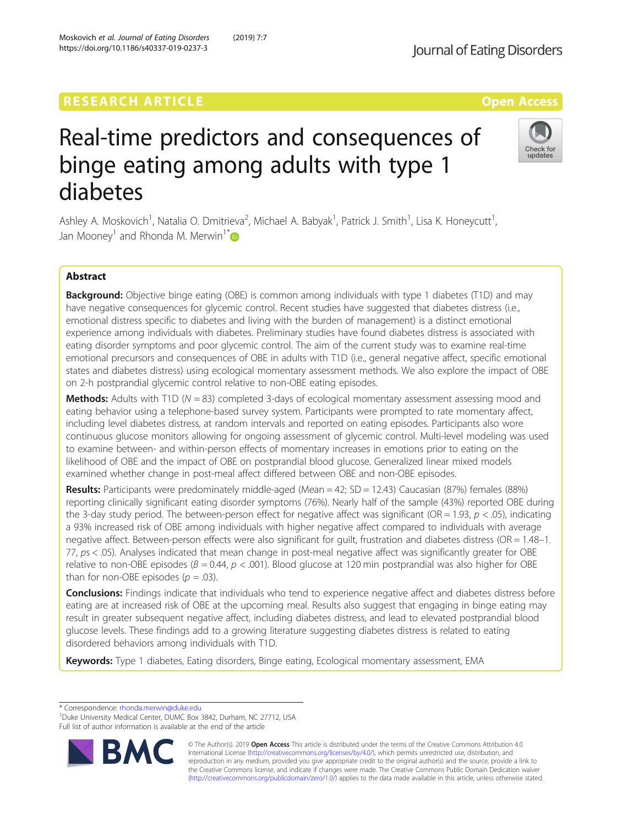## **RESEARCH ARTICLE External Structure Control Control Control Control Control Control Control Control Control Control Control Control Control Control Control Control Control Control Control Control Control Control Control**

# Real-time predictors and consequences of binge eating among adults with type 1 diabetes

Ashley A. Moskovich<sup>1</sup>, Natalia O. Dmitrieva<sup>2</sup>, Michael A. Babyak<sup>1</sup>, Patrick J. Smith<sup>1</sup>, Lisa K. Honeycutt<sup>1</sup> , Jan Mooney<sup>1</sup> and Rhonda M. Merwin<sup>1[\\*](http://orcid.org/0000-0002-3729-0297)</sup>

## Abstract

Background: Objective binge eating (OBE) is common among individuals with type 1 diabetes (T1D) and may have negative consequences for glycemic control. Recent studies have suggested that diabetes distress (i.e., emotional distress specific to diabetes and living with the burden of management) is a distinct emotional experience among individuals with diabetes. Preliminary studies have found diabetes distress is associated with eating disorder symptoms and poor glycemic control. The aim of the current study was to examine real-time emotional precursors and consequences of OBE in adults with T1D (i.e., general negative affect, specific emotional states and diabetes distress) using ecological momentary assessment methods. We also explore the impact of OBE on 2-h postprandial glycemic control relative to non-OBE eating episodes.

**Methods:** Adults with T1D ( $N = 83$ ) completed 3-days of ecological momentary assessment assessing mood and eating behavior using a telephone-based survey system. Participants were prompted to rate momentary affect, including level diabetes distress, at random intervals and reported on eating episodes. Participants also wore continuous glucose monitors allowing for ongoing assessment of glycemic control. Multi-level modeling was used to examine between- and within-person effects of momentary increases in emotions prior to eating on the likelihood of OBE and the impact of OBE on postprandial blood glucose. Generalized linear mixed models examined whether change in post-meal affect differed between OBE and non-OBE episodes.

**Results:** Participants were predominately middle-aged (Mean = 42; SD = 12.43) Caucasian (87%) females (88%) reporting clinically significant eating disorder symptoms (76%). Nearly half of the sample (43%) reported OBE during the 3-day study period. The between-person effect for negative affect was significant (OR = 1.93,  $p < .05$ ), indicating a 93% increased risk of OBE among individuals with higher negative affect compared to individuals with average negative affect. Between-person effects were also significant for guilt, frustration and diabetes distress (OR = 1.48–1. 77, ps < .05). Analyses indicated that mean change in post-meal negative affect was significantly greater for OBE relative to non-OBE episodes ( $B = 0.44$ ,  $p < .001$ ). Blood glucose at 120 min postprandial was also higher for OBE than for non-OBE episodes ( $p = .03$ ).

**Conclusions:** Findings indicate that individuals who tend to experience negative affect and diabetes distress before eating are at increased risk of OBE at the upcoming meal. Results also suggest that engaging in binge eating may result in greater subsequent negative affect, including diabetes distress, and lead to elevated postprandial blood glucose levels. These findings add to a growing literature suggesting diabetes distress is related to eating disordered behaviors among individuals with T1D.

Keywords: Type 1 diabetes, Eating disorders, Binge eating, Ecological momentary assessment, EMA

\* Correspondence: [rhonda.merwin@duke.edu](mailto:rhonda.merwin@duke.edu) <sup>1</sup>

<sup>1</sup>Duke University Medical Center, DUMC Box 3842, Durham, NC 27712, USA Full list of author information is available at the end of the article

> © The Author(s). 2019 Open Access This article is distributed under the terms of the Creative Commons Attribution 4.0 International License [\(http://creativecommons.org/licenses/by/4.0/](http://creativecommons.org/licenses/by/4.0/)), which permits unrestricted use, distribution, and reproduction in any medium, provided you give appropriate credit to the original author(s) and the source, provide a link to the Creative Commons license, and indicate if changes were made. The Creative Commons Public Domain Dedication waiver [\(http://creativecommons.org/publicdomain/zero/1.0/](http://creativecommons.org/publicdomain/zero/1.0/)) applies to the data made available in this article, unless otherwise stated.





Moskovich et al. Journal of Eating Disorders (2019) 7:7 https://doi.org/10.1186/s40337-019-0237-3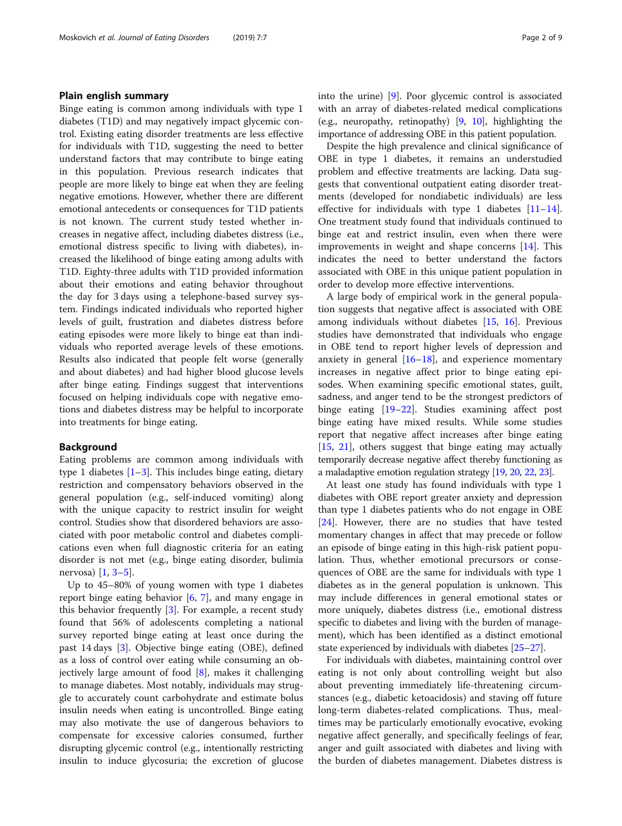## Plain english summary

Binge eating is common among individuals with type 1 diabetes (T1D) and may negatively impact glycemic control. Existing eating disorder treatments are less effective for individuals with T1D, suggesting the need to better understand factors that may contribute to binge eating in this population. Previous research indicates that people are more likely to binge eat when they are feeling negative emotions. However, whether there are different emotional antecedents or consequences for T1D patients is not known. The current study tested whether increases in negative affect, including diabetes distress (i.e., emotional distress specific to living with diabetes), increased the likelihood of binge eating among adults with T1D. Eighty-three adults with T1D provided information about their emotions and eating behavior throughout the day for 3 days using a telephone-based survey system. Findings indicated individuals who reported higher levels of guilt, frustration and diabetes distress before eating episodes were more likely to binge eat than individuals who reported average levels of these emotions. Results also indicated that people felt worse (generally and about diabetes) and had higher blood glucose levels after binge eating. Findings suggest that interventions focused on helping individuals cope with negative emotions and diabetes distress may be helpful to incorporate into treatments for binge eating.

## Background

Eating problems are common among individuals with type [1](#page-7-0) diabetes  $[1-3]$  $[1-3]$  $[1-3]$ . This includes binge eating, dietary restriction and compensatory behaviors observed in the general population (e.g., self-induced vomiting) along with the unique capacity to restrict insulin for weight control. Studies show that disordered behaviors are associated with poor metabolic control and diabetes complications even when full diagnostic criteria for an eating disorder is not met (e.g., binge eating disorder, bulimia nervosa) [[1,](#page-7-0) [3](#page-7-0)–[5](#page-7-0)].

Up to 45–80% of young women with type 1 diabetes report binge eating behavior  $[6, 7]$  $[6, 7]$  $[6, 7]$  $[6, 7]$ , and many engage in this behavior frequently [\[3](#page-7-0)]. For example, a recent study found that 56% of adolescents completing a national survey reported binge eating at least once during the past 14 days [[3\]](#page-7-0). Objective binge eating (OBE), defined as a loss of control over eating while consuming an objectively large amount of food [\[8](#page-7-0)], makes it challenging to manage diabetes. Most notably, individuals may struggle to accurately count carbohydrate and estimate bolus insulin needs when eating is uncontrolled. Binge eating may also motivate the use of dangerous behaviors to compensate for excessive calories consumed, further disrupting glycemic control (e.g., intentionally restricting insulin to induce glycosuria; the excretion of glucose into the urine) [[9\]](#page-7-0). Poor glycemic control is associated with an array of diabetes-related medical complications (e.g., neuropathy, retinopathy) [\[9](#page-7-0), [10\]](#page-7-0), highlighting the importance of addressing OBE in this patient population.

Despite the high prevalence and clinical significance of OBE in type 1 diabetes, it remains an understudied problem and effective treatments are lacking. Data suggests that conventional outpatient eating disorder treatments (developed for nondiabetic individuals) are less effective for individuals with type 1 diabetes [[11](#page-7-0)–[14](#page-7-0)]. One treatment study found that individuals continued to binge eat and restrict insulin, even when there were improvements in weight and shape concerns [\[14](#page-7-0)]. This indicates the need to better understand the factors associated with OBE in this unique patient population in order to develop more effective interventions.

A large body of empirical work in the general population suggests that negative affect is associated with OBE among individuals without diabetes [[15,](#page-7-0) [16\]](#page-7-0). Previous studies have demonstrated that individuals who engage in OBE tend to report higher levels of depression and anxiety in general  $[16–18]$  $[16–18]$  $[16–18]$ , and experience momentary increases in negative affect prior to binge eating episodes. When examining specific emotional states, guilt, sadness, and anger tend to be the strongest predictors of binge eating [[19](#page-7-0)–[22](#page-8-0)]. Studies examining affect post binge eating have mixed results. While some studies report that negative affect increases after binge eating [[15,](#page-7-0) [21](#page-7-0)], others suggest that binge eating may actually temporarily decrease negative affect thereby functioning as a maladaptive emotion regulation strategy [\[19,](#page-7-0) [20,](#page-7-0) [22,](#page-8-0) [23\]](#page-8-0).

At least one study has found individuals with type 1 diabetes with OBE report greater anxiety and depression than type 1 diabetes patients who do not engage in OBE [[24\]](#page-8-0). However, there are no studies that have tested momentary changes in affect that may precede or follow an episode of binge eating in this high-risk patient population. Thus, whether emotional precursors or consequences of OBE are the same for individuals with type 1 diabetes as in the general population is unknown. This may include differences in general emotional states or more uniquely, diabetes distress (i.e., emotional distress specific to diabetes and living with the burden of management), which has been identified as a distinct emotional state experienced by individuals with diabetes [\[25](#page-8-0)–[27](#page-8-0)].

For individuals with diabetes, maintaining control over eating is not only about controlling weight but also about preventing immediately life-threatening circumstances (e.g., diabetic ketoacidosis) and staving off future long-term diabetes-related complications. Thus, mealtimes may be particularly emotionally evocative, evoking negative affect generally, and specifically feelings of fear, anger and guilt associated with diabetes and living with the burden of diabetes management. Diabetes distress is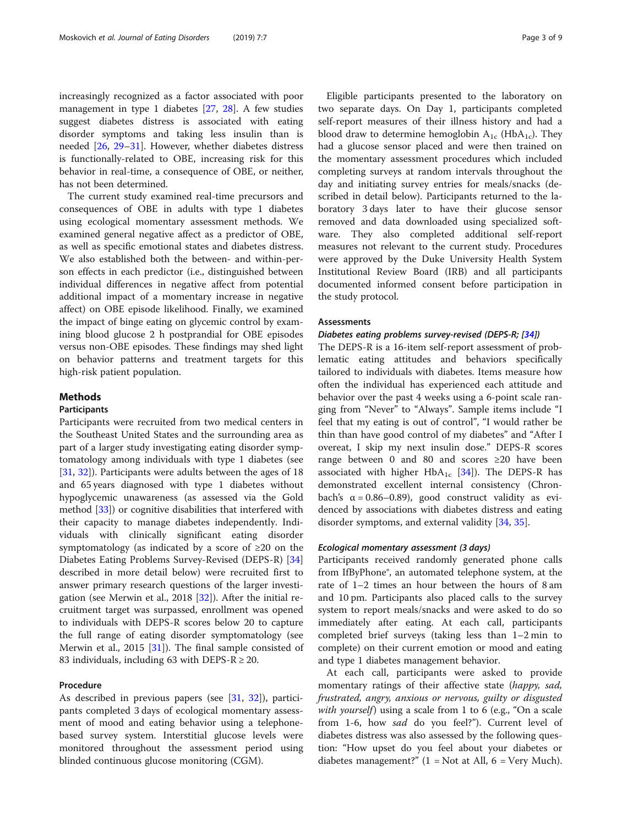increasingly recognized as a factor associated with poor management in type 1 diabetes [[27,](#page-8-0) [28](#page-8-0)]. A few studies suggest diabetes distress is associated with eating disorder symptoms and taking less insulin than is needed [[26,](#page-8-0) [29](#page-8-0)–[31\]](#page-8-0). However, whether diabetes distress is functionally-related to OBE, increasing risk for this behavior in real-time, a consequence of OBE, or neither, has not been determined.

The current study examined real-time precursors and consequences of OBE in adults with type 1 diabetes using ecological momentary assessment methods. We examined general negative affect as a predictor of OBE, as well as specific emotional states and diabetes distress. We also established both the between- and within-person effects in each predictor (i.e., distinguished between individual differences in negative affect from potential additional impact of a momentary increase in negative affect) on OBE episode likelihood. Finally, we examined the impact of binge eating on glycemic control by examining blood glucose 2 h postprandial for OBE episodes versus non-OBE episodes. These findings may shed light on behavior patterns and treatment targets for this high-risk patient population.

## Methods

## Participants

Participants were recruited from two medical centers in the Southeast United States and the surrounding area as part of a larger study investigating eating disorder symptomatology among individuals with type 1 diabetes (see [[31,](#page-8-0) [32\]](#page-8-0)). Participants were adults between the ages of 18 and 65 years diagnosed with type 1 diabetes without hypoglycemic unawareness (as assessed via the Gold method [\[33](#page-8-0)]) or cognitive disabilities that interfered with their capacity to manage diabetes independently. Individuals with clinically significant eating disorder symptomatology (as indicated by a score of  $\geq 20$  on the Diabetes Eating Problems Survey-Revised (DEPS-R) [[34](#page-8-0)] described in more detail below) were recruited first to answer primary research questions of the larger investigation (see Merwin et al., 2018 [[32](#page-8-0)]). After the initial recruitment target was surpassed, enrollment was opened to individuals with DEPS-R scores below 20 to capture the full range of eating disorder symptomatology (see Merwin et al., 2015 [\[31](#page-8-0)]). The final sample consisted of 83 individuals, including 63 with DEPS-R  $\geq$  20.

## Procedure

As described in previous papers (see [[31](#page-8-0), [32\]](#page-8-0)), participants completed 3 days of ecological momentary assessment of mood and eating behavior using a telephonebased survey system. Interstitial glucose levels were monitored throughout the assessment period using blinded continuous glucose monitoring (CGM).

Eligible participants presented to the laboratory on two separate days. On Day 1, participants completed self-report measures of their illness history and had a blood draw to determine hemoglobin  $A_{1c}$  (Hb $A_{1c}$ ). They had a glucose sensor placed and were then trained on the momentary assessment procedures which included completing surveys at random intervals throughout the day and initiating survey entries for meals/snacks (described in detail below). Participants returned to the laboratory 3 days later to have their glucose sensor removed and data downloaded using specialized software. They also completed additional self-report measures not relevant to the current study. Procedures were approved by the Duke University Health System Institutional Review Board (IRB) and all participants documented informed consent before participation in the study protocol.

## Assessments

#### Diabetes eating problems survey-revised (DEPS-R; [\[34\]](#page-8-0))

The DEPS-R is a 16-item self-report assessment of problematic eating attitudes and behaviors specifically tailored to individuals with diabetes. Items measure how often the individual has experienced each attitude and behavior over the past 4 weeks using a 6-point scale ranging from "Never" to "Always". Sample items include "I feel that my eating is out of control", "I would rather be thin than have good control of my diabetes" and "After I overeat, I skip my next insulin dose." DEPS-R scores range between 0 and 80 and scores ≥20 have been associated with higher  $HbA_{1c}$  [\[34](#page-8-0)]). The DEPS-R has demonstrated excellent internal consistency (Chronbach's  $\alpha = 0.86 - 0.89$ , good construct validity as evidenced by associations with diabetes distress and eating disorder symptoms, and external validity [[34](#page-8-0), [35](#page-8-0)].

## Ecological momentary assessment (3 days)

Participants received randomly generated phone calls from IfByPhone®, an automated telephone system, at the rate of 1–2 times an hour between the hours of 8 am and 10 pm. Participants also placed calls to the survey system to report meals/snacks and were asked to do so immediately after eating. At each call, participants completed brief surveys (taking less than 1–2 min to complete) on their current emotion or mood and eating and type 1 diabetes management behavior.

At each call, participants were asked to provide momentary ratings of their affective state (happy, sad, frustrated, angry, anxious or nervous, guilty or disgusted with yourself) using a scale from 1 to 6 (e.g., "On a scale from 1-6, how sad do you feel?"). Current level of diabetes distress was also assessed by the following question: "How upset do you feel about your diabetes or diabetes management?"  $(1 = Not at All, 6 = Very Much)$ .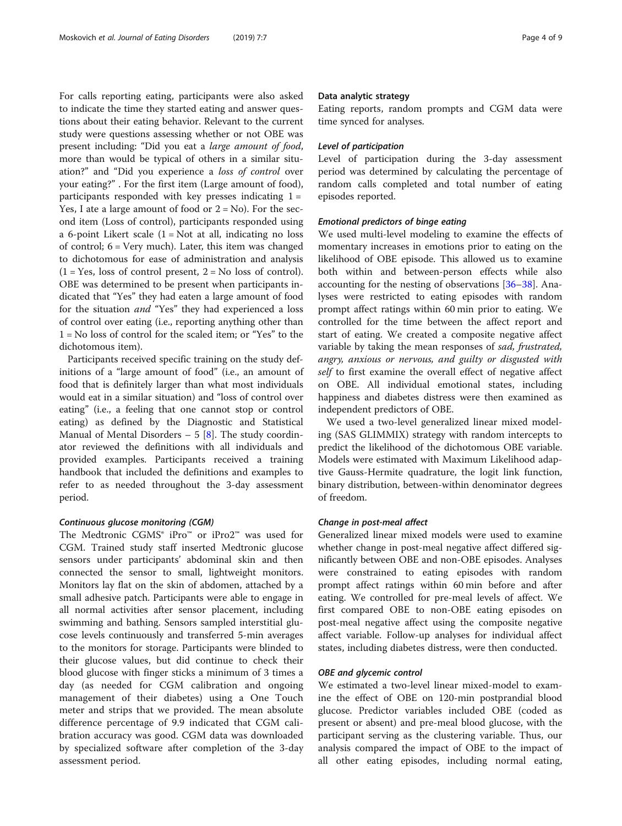For calls reporting eating, participants were also asked to indicate the time they started eating and answer questions about their eating behavior. Relevant to the current study were questions assessing whether or not OBE was present including: "Did you eat a large amount of food, more than would be typical of others in a similar situation?" and "Did you experience a loss of control over your eating?" . For the first item (Large amount of food), participants responded with key presses indicating  $1 =$ Yes, I ate a large amount of food or  $2 = No$ ). For the second item (Loss of control), participants responded using a 6-point Likert scale  $(1 = Not at all, indicating no loss)$ of control; 6 = Very much). Later, this item was changed to dichotomous for ease of administration and analysis  $(1 = Yes, loss of control present, 2 = No loss of control).$ OBE was determined to be present when participants indicated that "Yes" they had eaten a large amount of food for the situation and "Yes" they had experienced a loss of control over eating (i.e., reporting anything other than 1 = No loss of control for the scaled item; or "Yes" to the dichotomous item).

Participants received specific training on the study definitions of a "large amount of food" (i.e., an amount of food that is definitely larger than what most individuals would eat in a similar situation) and "loss of control over eating" (i.e., a feeling that one cannot stop or control eating) as defined by the Diagnostic and Statistical Manual of Mental Disorders  $-5$  [[8](#page-7-0)]. The study coordinator reviewed the definitions with all individuals and provided examples. Participants received a training handbook that included the definitions and examples to refer to as needed throughout the 3-day assessment period.

#### Continuous glucose monitoring (CGM)

The Medtronic CGMS® iPro™ or iPro2™ was used for CGM. Trained study staff inserted Medtronic glucose sensors under participants' abdominal skin and then connected the sensor to small, lightweight monitors. Monitors lay flat on the skin of abdomen, attached by a small adhesive patch. Participants were able to engage in all normal activities after sensor placement, including swimming and bathing. Sensors sampled interstitial glucose levels continuously and transferred 5-min averages to the monitors for storage. Participants were blinded to their glucose values, but did continue to check their blood glucose with finger sticks a minimum of 3 times a day (as needed for CGM calibration and ongoing management of their diabetes) using a One Touch meter and strips that we provided. The mean absolute difference percentage of 9.9 indicated that CGM calibration accuracy was good. CGM data was downloaded by specialized software after completion of the 3-day assessment period.

#### Data analytic strategy

Eating reports, random prompts and CGM data were time synced for analyses.

## Level of participation

Level of participation during the 3-day assessment period was determined by calculating the percentage of random calls completed and total number of eating episodes reported.

## Emotional predictors of binge eating

We used multi-level modeling to examine the effects of momentary increases in emotions prior to eating on the likelihood of OBE episode. This allowed us to examine both within and between-person effects while also accounting for the nesting of observations [\[36](#page-8-0)–[38\]](#page-8-0). Analyses were restricted to eating episodes with random prompt affect ratings within 60 min prior to eating. We controlled for the time between the affect report and start of eating. We created a composite negative affect variable by taking the mean responses of sad, frustrated, angry, anxious or nervous, and guilty or disgusted with self to first examine the overall effect of negative affect on OBE. All individual emotional states, including happiness and diabetes distress were then examined as independent predictors of OBE.

We used a two-level generalized linear mixed modeling (SAS GLIMMIX) strategy with random intercepts to predict the likelihood of the dichotomous OBE variable. Models were estimated with Maximum Likelihood adaptive Gauss-Hermite quadrature, the logit link function, binary distribution, between-within denominator degrees of freedom.

## Change in post-meal affect

Generalized linear mixed models were used to examine whether change in post-meal negative affect differed significantly between OBE and non-OBE episodes. Analyses were constrained to eating episodes with random prompt affect ratings within 60 min before and after eating. We controlled for pre-meal levels of affect. We first compared OBE to non-OBE eating episodes on post-meal negative affect using the composite negative affect variable. Follow-up analyses for individual affect states, including diabetes distress, were then conducted.

### OBE and glycemic control

We estimated a two-level linear mixed-model to examine the effect of OBE on 120-min postprandial blood glucose. Predictor variables included OBE (coded as present or absent) and pre-meal blood glucose, with the participant serving as the clustering variable. Thus, our analysis compared the impact of OBE to the impact of all other eating episodes, including normal eating,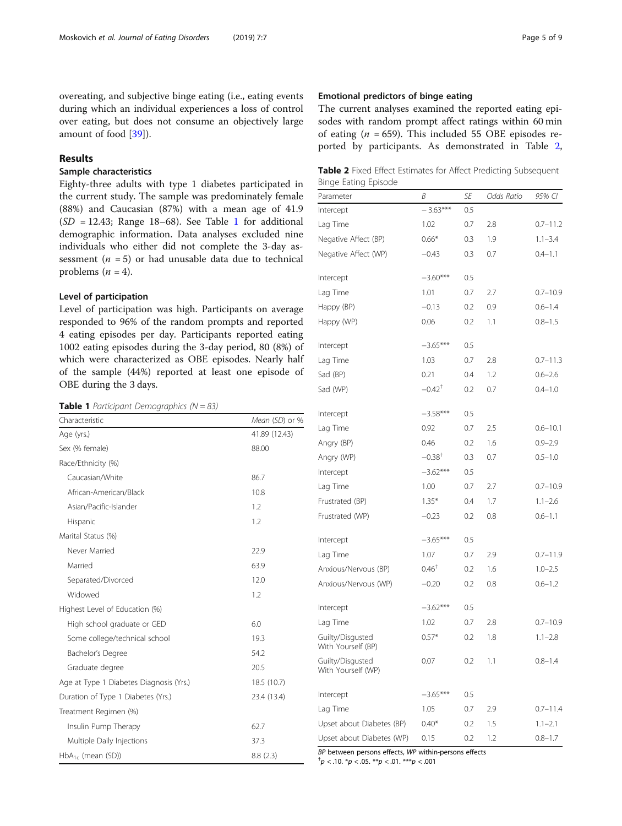<span id="page-4-0"></span>overeating, and subjective binge eating (i.e., eating events during which an individual experiences a loss of control over eating, but does not consume an objectively large amount of food [[39](#page-8-0)]).

## Results

## Sample characteristics

Eighty-three adults with type 1 diabetes participated in the current study. The sample was predominately female (88%) and Caucasian (87%) with a mean age of 41.9  $(SD = 12.43;$  Range 18–68). See Table 1 for additional demographic information. Data analyses excluded nine individuals who either did not complete the 3-day assessment ( $n = 5$ ) or had unusable data due to technical problems  $(n = 4)$ .

## Level of participation

Level of participation was high. Participants on average responded to 96% of the random prompts and reported 4 eating episodes per day. Participants reported eating 1002 eating episodes during the 3-day period, 80 (8%) of which were characterized as OBE episodes. Nearly half of the sample (44%) reported at least one episode of OBE during the 3 days.

**Table 1** Participant Demographics ( $N = 83$ )

| Characteristic                          | Mean (SD) or % |
|-----------------------------------------|----------------|
| Age (yrs.)                              | 41.89 (12.43)  |
| Sex (% female)                          | 88.00          |
| Race/Ethnicity (%)                      |                |
| Caucasian/White                         | 86.7           |
| African-American/Black                  | 10.8           |
| Asian/Pacific-Islander                  | 1.2            |
| Hispanic                                | 1.2            |
| Marital Status (%)                      |                |
| Never Married                           | 22.9           |
| Married                                 | 63.9           |
| Separated/Divorced                      | 12.0           |
| Widowed                                 | 1.2            |
| Highest Level of Education (%)          |                |
| High school graduate or GED             | 6.0            |
| Some college/technical school           | 19.3           |
| Bachelor's Degree                       | 54.2           |
| Graduate degree                         | 20.5           |
| Age at Type 1 Diabetes Diagnosis (Yrs.) | 18.5 (10.7)    |
| Duration of Type 1 Diabetes (Yrs.)      | 23.4 (13.4)    |
| Treatment Regimen (%)                   |                |
| Insulin Pump Therapy                    | 62.7           |
| Multiple Daily Injections               | 37.3           |
| $HbA_{1c}$ (mean (SD))                  | 8.8(2.3)       |

## Emotional predictors of binge eating

The current analyses examined the reported eating episodes with random prompt affect ratings within 60 min of eating ( $n = 659$ ). This included 55 OBE episodes reported by participants. As demonstrated in Table 2,

|  |                      |  |  | Table 2 Fixed Effect Estimates for Affect Predicting Subsequent |
|--|----------------------|--|--|-----------------------------------------------------------------|
|  | Binge Eating Episode |  |  |                                                                 |

| Parameter                              | B                    | SE  | Odds Ratio | 95% CI       |
|----------------------------------------|----------------------|-----|------------|--------------|
| Intercept                              | $-3.63***$           | 0.5 |            |              |
| Lag Time                               | 1.02                 | 0.7 | 2.8        | $0.7 - 11.2$ |
| Negative Affect (BP)                   | $0.66*$              | 0.3 | 1.9        | $1.1 - 3.4$  |
| Negative Affect (WP)                   | $-0.43$              | 0.3 | 0.7        | $0.4 - 1.1$  |
| Intercept                              | $-3.60***$           | 0.5 |            |              |
| Lag Time                               | 1.01                 | 0.7 | 2.7        | $0.7 - 10.9$ |
| Happy (BP)                             | $-0.13$              | 0.2 | 0.9        | $0.6 - 1.4$  |
| Happy (WP)                             | 0.06                 | 0.2 | 1.1        | $0.8 - 1.5$  |
| Intercept                              | $-3.65***$           | 0.5 |            |              |
| Lag Time                               | 1.03                 | 0.7 | 2.8        | $0.7 - 11.3$ |
| Sad (BP)                               | 0.21                 | 0.4 | 1.2        | $0.6 - 2.6$  |
| Sad (WP)                               | $-0.42$ <sup>†</sup> | 0.2 | 0.7        | $0.4 - 1.0$  |
| Intercept                              | $-3.58***$           | 0.5 |            |              |
| Lag Time                               | 0.92                 | 0.7 | 2.5        | $0.6 - 10.1$ |
| Angry (BP)                             | 0.46                 | 0.2 | 1.6        | $0.9 - 2.9$  |
| Angry (WP)                             | $-0.38^{\dagger}$    | 0.3 | 0.7        | $0.5 - 1.0$  |
| Intercept                              | $-3.62***$           | 0.5 |            |              |
| Lag Time                               | 1.00                 | 0.7 | 2.7        | $0.7 - 10.9$ |
| Frustrated (BP)                        | $1.35*$              | 0.4 | 1.7        | $1.1 - 2.6$  |
| Frustrated (WP)                        | $-0.23$              | 0.2 | 0.8        | $0.6 - 1.1$  |
| Intercept                              | $-3.65***$           | 0.5 |            |              |
| Lag Time                               | 1.07                 | 0.7 | 2.9        | $0.7 - 11.9$ |
| Anxious/Nervous (BP)                   | $0.46^{\dagger}$     | 0.2 | 1.6        | $1.0 - 2.5$  |
| Anxious/Nervous (WP)                   | $-0.20$              | 0.2 | 0.8        | $0.6 - 1.2$  |
| Intercept                              | $-3.62***$           | 0.5 |            |              |
| Lag Time                               | 1.02                 | 0.7 | 2.8        | $0.7 - 10.9$ |
| Guilty/Disgusted<br>With Yourself (BP) | $0.57*$              | 0.2 | 1.8        | $1.1 - 2.8$  |
| Guilty/Disgusted<br>With Yourself (WP) | 0.07                 | 0.2 | 1.1        | $0.8 - 1.4$  |
| Intercept                              | $-3.65***$           | 0.5 |            |              |
| Lag Time                               | 1.05                 | 0.7 | 2.9        | $0.7 - 11.4$ |
| Upset about Diabetes (BP)              | $0.40*$              | 0.2 | 1.5        | $1.1 - 2.1$  |
| Upset about Diabetes (WP)              | 0.15                 | 0.2 | 1.2        | $0.8 - 1.7$  |

BP between persons effects, WP within-persons effects

 $^{\dagger}p$  < .10.  $^{\ast}p$  < .05.  $^{\ast\ast}p$  < .01.  $^{\ast\ast\ast}p$  < .001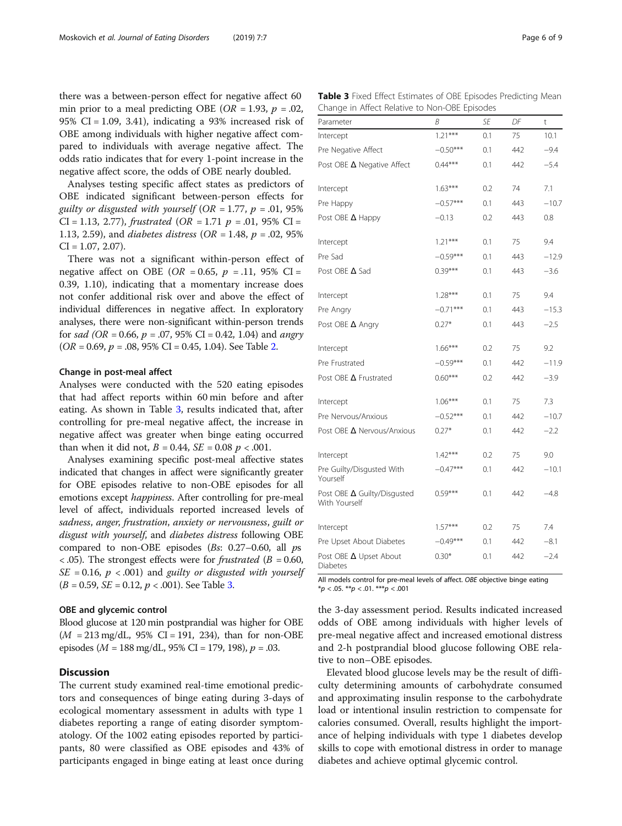there was a between-person effect for negative affect 60 min prior to a meal predicting OBE ( $OR = 1.93$ ,  $p = .02$ , 95% CI = 1.09, 3.41), indicating a 93% increased risk of OBE among individuals with higher negative affect compared to individuals with average negative affect. The odds ratio indicates that for every 1-point increase in the negative affect score, the odds of OBE nearly doubled.

Analyses testing specific affect states as predictors of OBE indicated significant between-person effects for guilty or disgusted with yourself (OR = 1.77,  $p = 0.01$ , 95% CI = 1.13, 2.77), frustrated (OR = 1.71  $p = .01$ , 95% CI = 1.13, 2.59), and *diabetes distress* ( $OR = 1.48$ ,  $p = .02$ , 95%  $CI = 1.07, 2.07$ .

There was not a significant within-person effect of negative affect on OBE (OR = 0.65,  $p = .11$ , 95% CI = 0.39, 1.10), indicating that a momentary increase does not confer additional risk over and above the effect of individual differences in negative affect. In exploratory analyses, there were non-significant within-person trends for sad (OR = 0.66,  $p = .07,95\%$  CI = 0.42, 1.04) and angry  $(OR = 0.69, p = .08, 95\% \text{ CI} = 0.45, 1.04)$ . See Table [2](#page-4-0).

#### Change in post-meal affect

Analyses were conducted with the 520 eating episodes that had affect reports within 60 min before and after eating. As shown in Table 3, results indicated that, after controlling for pre-meal negative affect, the increase in negative affect was greater when binge eating occurred than when it did not,  $B = 0.44$ ,  $SE = 0.08$   $p < .001$ .

Analyses examining specific post-meal affective states indicated that changes in affect were significantly greater for OBE episodes relative to non-OBE episodes for all emotions except happiness. After controlling for pre-meal level of affect, individuals reported increased levels of sadness, anger, frustration, anxiety or nervousness, guilt or disgust with yourself, and diabetes distress following OBE compared to non-OBE episodes  $(Bs: 0.27-0.60,$  all  $ps$  $\langle 0.05 \rangle$ . The strongest effects were for *frustrated* ( $B = 0.60$ ,  $SE = 0.16$ ,  $p < .001$ ) and *guilty or disgusted with yourself*  $(B = 0.59, SE = 0.12, p < .001)$ . See Table 3.

### OBE and glycemic control

Blood glucose at 120 min postprandial was higher for OBE  $(M = 213 \text{ mg/dL}, 95\% \text{ CI} = 191, 234)$ , than for non-OBE episodes ( $M = 188$  mg/dL, 95% CI = 179, 198),  $p = .03$ .

## **Discussion**

The current study examined real-time emotional predictors and consequences of binge eating during 3-days of ecological momentary assessment in adults with type 1 diabetes reporting a range of eating disorder symptomatology. Of the 1002 eating episodes reported by participants, 80 were classified as OBE episodes and 43% of participants engaged in binge eating at least once during

Table 3 Fixed Effect Estimates of OBE Episodes Predicting Mean Change in Affect Relative to Non-OBE Episodes

| Parameter                                           | Β          | SE  | DF  | t       |
|-----------------------------------------------------|------------|-----|-----|---------|
| Intercept                                           | $1.21***$  | 0.1 | 75  | 10.1    |
| Pre Negative Affect                                 | $-0.50***$ | 0.1 | 442 | $-9.4$  |
| Post OBE $\Delta$ Negative Affect                   | $0.44***$  | 0.1 | 442 | $-5.4$  |
| Intercept                                           | $1.63***$  | 0.2 | 74  | 7.1     |
| Pre Happy                                           | $-0.57***$ | 0.1 | 443 | $-10.7$ |
| Post OBE A Happy                                    | $-0.13$    | 0.2 | 443 | 0.8     |
| Intercept                                           | $1.21***$  | 0.1 | 75  | 9.4     |
| Pre Sad                                             | $-0.59***$ | 0.1 | 443 | $-12.9$ |
| Post OBE $\Delta$ Sad                               | $0.39***$  | 0.1 | 443 | $-3.6$  |
| Intercept                                           | $1.28***$  | 0.1 | 75  | 9.4     |
| Pre Angry                                           | $-0.71***$ | 0.1 | 443 | $-15.3$ |
| Post OBE A Angry                                    | $0.27*$    | 0.1 | 443 | $-2.5$  |
| Intercept                                           | $1.66***$  | 0.2 | 75  | 9.2     |
| Pre Frustrated                                      | $-0.59***$ | 0.1 | 442 | $-11.9$ |
| Post OBE $\Delta$ Frustrated                        | $0.60***$  | 0.2 | 442 | $-3.9$  |
| Intercept                                           | $1.06***$  | 0.1 | 75  | 7.3     |
| Pre Nervous/Anxious                                 | $-0.52***$ | 0.1 | 442 | $-10.7$ |
| Post OBE $\Delta$ Nervous/Anxious                   | $0.27*$    | 0.1 | 442 | $-2.2$  |
| Intercept                                           | $1.42***$  | 0.2 | 75  | 9.0     |
| Pre Guilty/Disgusted With<br>Yourself               | $-0.47***$ | 0.1 | 442 | $-10.1$ |
| Post OBE $\Delta$ Guilty/Disgusted<br>With Yourself | $0.59***$  | 0.1 | 442 | $-4.8$  |
| Intercept                                           | $1.57***$  | 0.2 | 75  | 7.4     |
| Pre Upset About Diabetes                            | $-0.49***$ | 0.1 | 442 | $-8.1$  |
| Post OBE A Upset About<br>Diabetes                  | $0.30*$    | 0.1 | 442 | $-2.4$  |

All models control for pre-meal levels of affect. OBE objective binge eating  $**p* < .05. ***p* < .01.****p* < .001$ 

the 3-day assessment period. Results indicated increased odds of OBE among individuals with higher levels of pre-meal negative affect and increased emotional distress and 2-h postprandial blood glucose following OBE relative to non–OBE episodes.

Elevated blood glucose levels may be the result of difficulty determining amounts of carbohydrate consumed and approximating insulin response to the carbohydrate load or intentional insulin restriction to compensate for calories consumed. Overall, results highlight the importance of helping individuals with type 1 diabetes develop skills to cope with emotional distress in order to manage diabetes and achieve optimal glycemic control.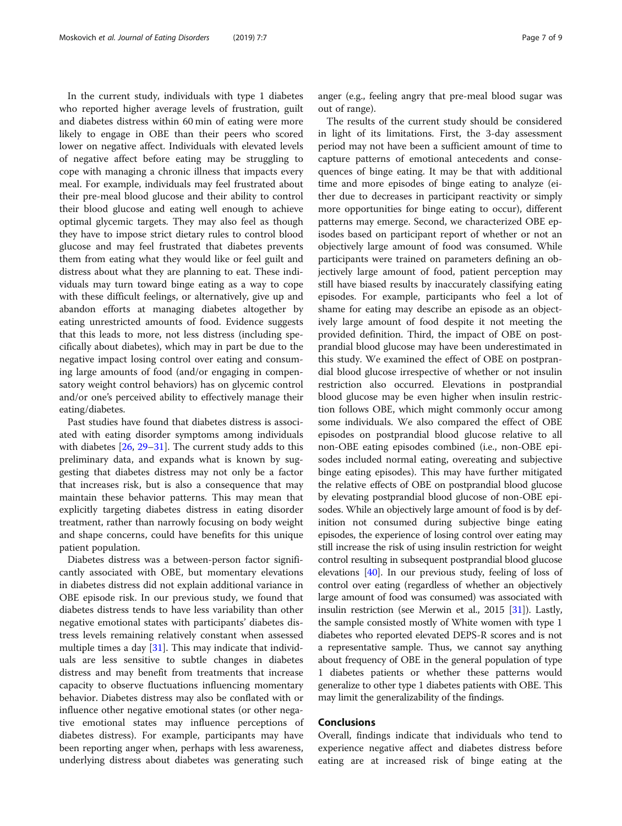In the current study, individuals with type 1 diabetes who reported higher average levels of frustration, guilt and diabetes distress within 60 min of eating were more likely to engage in OBE than their peers who scored lower on negative affect. Individuals with elevated levels of negative affect before eating may be struggling to cope with managing a chronic illness that impacts every meal. For example, individuals may feel frustrated about their pre-meal blood glucose and their ability to control their blood glucose and eating well enough to achieve optimal glycemic targets. They may also feel as though they have to impose strict dietary rules to control blood glucose and may feel frustrated that diabetes prevents them from eating what they would like or feel guilt and distress about what they are planning to eat. These individuals may turn toward binge eating as a way to cope with these difficult feelings, or alternatively, give up and abandon efforts at managing diabetes altogether by eating unrestricted amounts of food. Evidence suggests that this leads to more, not less distress (including specifically about diabetes), which may in part be due to the negative impact losing control over eating and consuming large amounts of food (and/or engaging in compensatory weight control behaviors) has on glycemic control and/or one's perceived ability to effectively manage their eating/diabetes.

Past studies have found that diabetes distress is associated with eating disorder symptoms among individuals with diabetes  $[26, 29-31]$  $[26, 29-31]$  $[26, 29-31]$  $[26, 29-31]$  $[26, 29-31]$  $[26, 29-31]$  $[26, 29-31]$ . The current study adds to this preliminary data, and expands what is known by suggesting that diabetes distress may not only be a factor that increases risk, but is also a consequence that may maintain these behavior patterns. This may mean that explicitly targeting diabetes distress in eating disorder treatment, rather than narrowly focusing on body weight and shape concerns, could have benefits for this unique patient population.

Diabetes distress was a between-person factor significantly associated with OBE, but momentary elevations in diabetes distress did not explain additional variance in OBE episode risk. In our previous study, we found that diabetes distress tends to have less variability than other negative emotional states with participants' diabetes distress levels remaining relatively constant when assessed multiple times a day [[31\]](#page-8-0). This may indicate that individuals are less sensitive to subtle changes in diabetes distress and may benefit from treatments that increase capacity to observe fluctuations influencing momentary behavior. Diabetes distress may also be conflated with or influence other negative emotional states (or other negative emotional states may influence perceptions of diabetes distress). For example, participants may have been reporting anger when, perhaps with less awareness, underlying distress about diabetes was generating such anger (e.g., feeling angry that pre-meal blood sugar was out of range).

The results of the current study should be considered in light of its limitations. First, the 3-day assessment period may not have been a sufficient amount of time to capture patterns of emotional antecedents and consequences of binge eating. It may be that with additional time and more episodes of binge eating to analyze (either due to decreases in participant reactivity or simply more opportunities for binge eating to occur), different patterns may emerge. Second, we characterized OBE episodes based on participant report of whether or not an objectively large amount of food was consumed. While participants were trained on parameters defining an objectively large amount of food, patient perception may still have biased results by inaccurately classifying eating episodes. For example, participants who feel a lot of shame for eating may describe an episode as an objectively large amount of food despite it not meeting the provided definition. Third, the impact of OBE on postprandial blood glucose may have been underestimated in this study. We examined the effect of OBE on postprandial blood glucose irrespective of whether or not insulin restriction also occurred. Elevations in postprandial blood glucose may be even higher when insulin restriction follows OBE, which might commonly occur among some individuals. We also compared the effect of OBE episodes on postprandial blood glucose relative to all non-OBE eating episodes combined (i.e., non-OBE episodes included normal eating, overeating and subjective binge eating episodes). This may have further mitigated the relative effects of OBE on postprandial blood glucose by elevating postprandial blood glucose of non-OBE episodes. While an objectively large amount of food is by definition not consumed during subjective binge eating episodes, the experience of losing control over eating may still increase the risk of using insulin restriction for weight control resulting in subsequent postprandial blood glucose elevations [[40](#page-8-0)]. In our previous study, feeling of loss of control over eating (regardless of whether an objectively large amount of food was consumed) was associated with insulin restriction (see Merwin et al., 2015 [[31](#page-8-0)]). Lastly, the sample consisted mostly of White women with type 1 diabetes who reported elevated DEPS-R scores and is not a representative sample. Thus, we cannot say anything about frequency of OBE in the general population of type 1 diabetes patients or whether these patterns would generalize to other type 1 diabetes patients with OBE. This may limit the generalizability of the findings.

## Conclusions

Overall, findings indicate that individuals who tend to experience negative affect and diabetes distress before eating are at increased risk of binge eating at the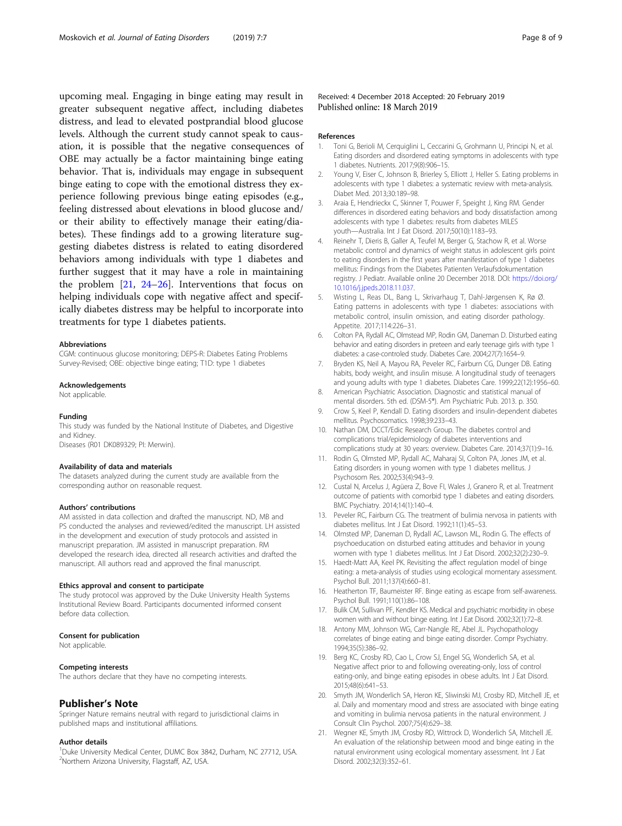<span id="page-7-0"></span>upcoming meal. Engaging in binge eating may result in greater subsequent negative affect, including diabetes distress, and lead to elevated postprandial blood glucose levels. Although the current study cannot speak to causation, it is possible that the negative consequences of OBE may actually be a factor maintaining binge eating behavior. That is, individuals may engage in subsequent binge eating to cope with the emotional distress they experience following previous binge eating episodes (e.g., feeling distressed about elevations in blood glucose and/ or their ability to effectively manage their eating/diabetes). These findings add to a growing literature suggesting diabetes distress is related to eating disordered behaviors among individuals with type 1 diabetes and further suggest that it may have a role in maintaining the problem [21, [24](#page-8-0)–[26\]](#page-8-0). Interventions that focus on helping individuals cope with negative affect and specifically diabetes distress may be helpful to incorporate into treatments for type 1 diabetes patients.

#### Abbreviations

CGM: continuous glucose monitoring; DEPS-R: Diabetes Eating Problems Survey-Revised; OBE: objective binge eating; T1D: type 1 diabetes

#### Acknowledgements

Not applicable.

#### Funding

This study was funded by the National Institute of Diabetes, and Digestive and Kidney. Diseases (R01 DK089329; PI: Merwin).

#### Availability of data and materials

The datasets analyzed during the current study are available from the corresponding author on reasonable request.

#### Authors' contributions

AM assisted in data collection and drafted the manuscript. ND, MB and PS conducted the analyses and reviewed/edited the manuscript. LH assisted in the development and execution of study protocols and assisted in manuscript preparation. JM assisted in manuscript preparation. RM developed the research idea, directed all research activities and drafted the manuscript. All authors read and approved the final manuscript.

#### Ethics approval and consent to participate

The study protocol was approved by the Duke University Health Systems Institutional Review Board. Participants documented informed consent before data collection.

#### Consent for publication

Not applicable.

#### Competing interests

The authors declare that they have no competing interests.

#### Publisher's Note

Springer Nature remains neutral with regard to jurisdictional claims in published maps and institutional affiliations.

#### Author details

<sup>1</sup>Duke University Medical Center, DUMC Box 3842, Durham, NC 27712, USA. 2 Northern Arizona University, Flagstaff, AZ, USA.

Received: 4 December 2018 Accepted: 20 February 2019 Published online: 18 March 2019

#### References

- 1. Toni G, Berioli M, Cerquiglini L, Ceccarini G, Grohmann U, Principi N, et al. Eating disorders and disordered eating symptoms in adolescents with type 1 diabetes. Nutrients. 2017;9(8):906–15.
- 2. Young V, Eiser C, Johnson B, Brierley S, Elliott J, Heller S. Eating problems in adolescents with type 1 diabetes: a systematic review with meta-analysis. Diabet Med. 2013;30:189–98.
- 3. Araia E, Hendrieckx C, Skinner T, Pouwer F, Speight J, King RM. Gender differences in disordered eating behaviors and body dissatisfaction among adolescents with type 1 diabetes: results from diabetes MILES youth—Australia. Int J Eat Disord. 2017;50(10):1183–93.
- 4. Reinehr T, Dieris B, Galler A, Teufel M, Berger G, Stachow R, et al. Worse metabolic control and dynamics of weight status in adolescent girls point to eating disorders in the first years after manifestation of type 1 diabetes mellitus: Findings from the Diabetes Patienten Verlaufsdokumentation registry. J Pediatr. Available online 20 December 2018. DOI: [https://doi.org/](https://doi.org/10.1016/j.jpeds.2018.11.037) [10.1016/j.jpeds.2018.11.037](https://doi.org/10.1016/j.jpeds.2018.11.037).
- 5. Wisting L, Reas DL, Bang L, Skrivarhaug T, Dahl-Jørgensen K, Rø Ø. Eating patterns in adolescents with type 1 diabetes: associations with metabolic control, insulin omission, and eating disorder pathology. Appetite. 2017;114:226–31.
- 6. Colton PA, Rydall AC, Olmstead MP, Rodin GM, Daneman D. Disturbed eating behavior and eating disorders in preteen and early teenage girls with type 1 diabetes: a case-controled study. Diabetes Care. 2004;27(7):1654–9.
- 7. Bryden KS, Neil A, Mayou RA, Peveler RC, Fairburn CG, Dunger DB. Eating habits, body weight, and insulin misuse. A longitudinal study of teenagers and young adults with type 1 diabetes. Diabetes Care. 1999;22(12):1956–60.
- 8. American Psychiatric Association. Diagnostic and statistical manual of mental disorders. 5th ed. (DSM-5®). Am Psychiatric Pub. 2013. p. 350.
- 9. Crow S, Keel P, Kendall D. Eating disorders and insulin-dependent diabetes mellitus. Psychosomatics. 1998;39:233–43.
- 10. Nathan DM, DCCT/Edic Research Group. The diabetes control and complications trial/epidemiology of diabetes interventions and complications study at 30 years: overview. Diabetes Care. 2014;37(1):9–16.
- 11. Rodin G, Olmsted MP, Rydall AC, Maharaj SI, Colton PA, Jones JM, et al. Eating disorders in young women with type 1 diabetes mellitus. J Psychosom Res. 2002;53(4):943–9.
- 12. Custal N, Arcelus J, Agüera Z, Bove FI, Wales J, Granero R, et al. Treatment outcome of patients with comorbid type 1 diabetes and eating disorders. BMC Psychiatry. 2014;14(1):140–4.
- 13. Peveler RC, Fairburn CG. The treatment of bulimia nervosa in patients with diabetes mellitus. Int J Eat Disord. 1992;11(1):45–53.
- 14. Olmsted MP, Daneman D, Rydall AC, Lawson ML, Rodin G. The effects of psychoeducation on disturbed eating attitudes and behavior in young women with type 1 diabetes mellitus. Int J Eat Disord. 2002;32(2):230–9.
- 15. Haedt-Matt AA, Keel PK. Revisiting the affect regulation model of binge eating: a meta-analysis of studies using ecological momentary assessment. Psychol Bull. 2011;137(4):660–81.
- 16. Heatherton TF, Baumeister RF. Binge eating as escape from self-awareness. Psychol Bull. 1991;110(1):86–108.
- 17. Bulik CM, Sullivan PF, Kendler KS. Medical and psychiatric morbidity in obese women with and without binge eating. Int J Eat Disord. 2002;32(1):72–8.
- 18. Antony MM, Johnson WG, Carr-Nangle RE, Abel JL. Psychopathology correlates of binge eating and binge eating disorder. Compr Psychiatry. 1994;35(5):386–92.
- 19. Berg KC, Crosby RD, Cao L, Crow SJ, Engel SG, Wonderlich SA, et al. Negative affect prior to and following overeating-only, loss of control eating-only, and binge eating episodes in obese adults. Int J Eat Disord. 2015;48(6):641–53.
- 20. Smyth JM, Wonderlich SA, Heron KE, Sliwinski MJ, Crosby RD, Mitchell JE, et al. Daily and momentary mood and stress are associated with binge eating and vomiting in bulimia nervosa patients in the natural environment. J Consult Clin Psychol. 2007;75(4):629–38.
- 21. Wegner KE, Smyth JM, Crosby RD, Wittrock D, Wonderlich SA, Mitchell JE. An evaluation of the relationship between mood and binge eating in the natural environment using ecological momentary assessment. Int J Eat Disord. 2002;32(3):352–61.